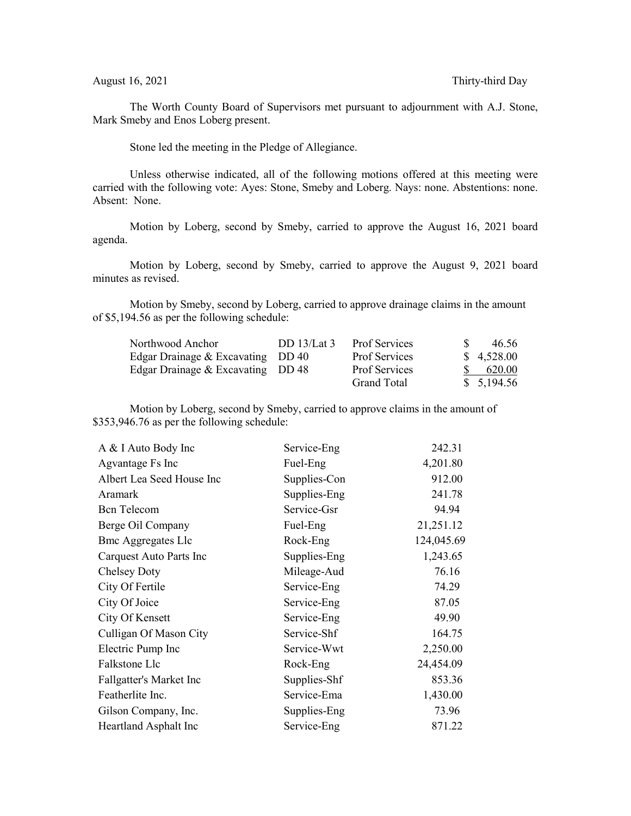The Worth County Board of Supervisors met pursuant to adjournment with A.J. Stone, Mark Smeby and Enos Loberg present.

Stone led the meeting in the Pledge of Allegiance.

Unless otherwise indicated, all of the following motions offered at this meeting were carried with the following vote: Ayes: Stone, Smeby and Loberg. Nays: none. Abstentions: none. Absent: None.

Motion by Loberg, second by Smeby, carried to approve the August 16, 2021 board agenda.

Motion by Loberg, second by Smeby, carried to approve the August 9, 2021 board minutes as revised.

Motion by Smeby, second by Loberg, carried to approve drainage claims in the amount of \$5,194.56 as per the following schedule:

| Northwood Anchor                  | DD $13/Lat3$ | <b>Prof Services</b> | 46.56      |
|-----------------------------------|--------------|----------------------|------------|
| Edgar Drainage & Excavating DD 40 |              | <b>Prof Services</b> | \$4,528.00 |
| Edgar Drainage & Excavating DD 48 |              | <b>Prof Services</b> | 620.00     |
|                                   |              | Grand Total          | \$5,194.56 |

Motion by Loberg, second by Smeby, carried to approve claims in the amount of \$353,946.76 as per the following schedule:

| A & I Auto Body Inc       | Service-Eng  | 242.31     |
|---------------------------|--------------|------------|
| Agvantage Fs Inc          | Fuel-Eng     | 4,201.80   |
| Albert Lea Seed House Inc | Supplies-Con | 912.00     |
| Aramark                   | Supplies-Eng | 241.78     |
| <b>Bcn</b> Telecom        | Service-Gsr  | 94.94      |
| Berge Oil Company         | Fuel-Eng     | 21,251.12  |
| <b>Bmc Aggregates Llc</b> | Rock-Eng     | 124,045.69 |
| Carquest Auto Parts Inc   | Supplies-Eng | 1,243.65   |
| <b>Chelsey Doty</b>       | Mileage-Aud  | 76.16      |
| City Of Fertile           | Service-Eng  | 74.29      |
| City Of Joice             | Service-Eng  | 87.05      |
| City Of Kensett           | Service-Eng  | 49.90      |
| Culligan Of Mason City    | Service-Shf  | 164.75     |
| Electric Pump Inc         | Service-Wwt  | 2,250.00   |
| Falkstone Llc             | Rock-Eng     | 24,454.09  |
| Fallgatter's Market Inc   | Supplies-Shf | 853.36     |
| Featherlite Inc.          | Service-Ema  | 1,430.00   |
| Gilson Company, Inc.      | Supplies-Eng | 73.96      |
| Heartland Asphalt Inc     | Service-Eng  | 871.22     |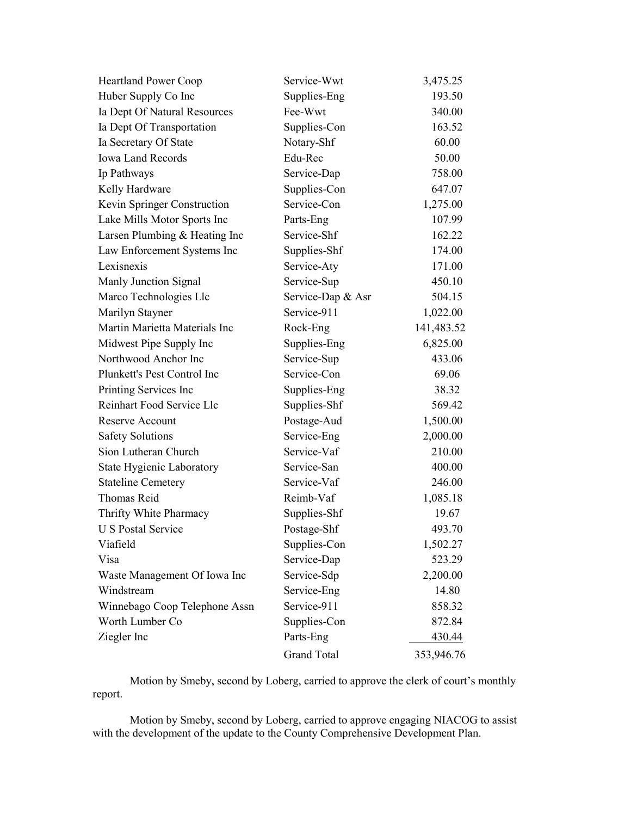| <b>Heartland Power Coop</b>   | Service-Wwt        | 3,475.25      |
|-------------------------------|--------------------|---------------|
| Huber Supply Co Inc           | Supplies-Eng       | 193.50        |
| Ia Dept Of Natural Resources  | Fee-Wwt            | 340.00        |
| Ia Dept Of Transportation     | Supplies-Con       | 163.52        |
| Ia Secretary Of State         | Notary-Shf         | 60.00         |
| <b>Iowa Land Records</b>      | Edu-Rec            | 50.00         |
| Ip Pathways                   | Service-Dap        | 758.00        |
| Kelly Hardware                | Supplies-Con       | 647.07        |
| Kevin Springer Construction   | Service-Con        | 1,275.00      |
| Lake Mills Motor Sports Inc   | Parts-Eng          | 107.99        |
| Larsen Plumbing & Heating Inc | Service-Shf        | 162.22        |
| Law Enforcement Systems Inc   | Supplies-Shf       | 174.00        |
| Lexisnexis                    | Service-Aty        | 171.00        |
| Manly Junction Signal         | Service-Sup        | 450.10        |
| Marco Technologies Llc        | Service-Dap & Asr  | 504.15        |
| Marilyn Stayner               | Service-911        | 1,022.00      |
| Martin Marietta Materials Inc | Rock-Eng           | 141,483.52    |
| Midwest Pipe Supply Inc       | Supplies-Eng       | 6,825.00      |
| Northwood Anchor Inc          | Service-Sup        | 433.06        |
| Plunkett's Pest Control Inc   | Service-Con        | 69.06         |
| Printing Services Inc         | Supplies-Eng       | 38.32         |
| Reinhart Food Service Llc     | Supplies-Shf       | 569.42        |
| Reserve Account               | Postage-Aud        | 1,500.00      |
| <b>Safety Solutions</b>       | Service-Eng        | 2,000.00      |
| Sion Lutheran Church          | Service-Vaf        | 210.00        |
| State Hygienic Laboratory     | Service-San        | 400.00        |
| <b>Stateline Cemetery</b>     | Service-Vaf        | 246.00        |
| <b>Thomas Reid</b>            | Reimb-Vaf          | 1,085.18      |
| Thrifty White Pharmacy        | Supplies-Shf       | 19.67         |
| <b>U S Postal Service</b>     | Postage-Shf        | 493.70        |
| Viafield                      | Supplies-Con       | 1,502.27      |
| Visa                          | Service-Dap        | 523.29        |
| Waste Management Of Iowa Inc  | Service-Sdp        | 2,200.00      |
| Windstream                    | Service-Eng        | 14.80         |
| Winnebago Coop Telephone Assn | Service-911        | 858.32        |
| Worth Lumber Co               | Supplies-Con       | 872.84        |
| Ziegler Inc                   | Parts-Eng          | <u>430.44</u> |
|                               | <b>Grand Total</b> | 353,946.76    |

Motion by Smeby, second by Loberg, carried to approve the clerk of court's monthly report.

Motion by Smeby, second by Loberg, carried to approve engaging NIACOG to assist with the development of the update to the County Comprehensive Development Plan.